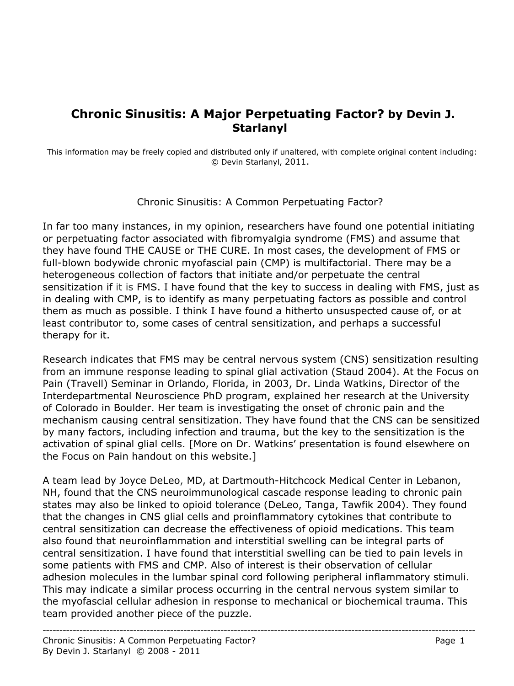## **Chronic Sinusitis: A Major Perpetuating Factor? by Devin J. Starlanyl**

This information may be freely copied and distributed only if unaltered, with complete original content including: © Devin Starlanyl, 2011.

Chronic Sinusitis: A Common Perpetuating Factor?

In far too many instances, in my opinion, researchers have found one potential initiating or perpetuating factor associated with fibromyalgia syndrome (FMS) and assume that they have found THE CAUSE or THE CURE. In most cases, the development of FMS or full-blown bodywide chronic myofascial pain (CMP) is multifactorial. There may be a heterogeneous collection of factors that initiate and/or perpetuate the central sensitization if it is FMS. I have found that the key to success in dealing with FMS, just as in dealing with CMP, is to identify as many perpetuating factors as possible and control them as much as possible. I think I have found a hitherto unsuspected cause of, or at least contributor to, some cases of central sensitization, and perhaps a successful therapy for it.

Research indicates that FMS may be central nervous system (CNS) sensitization resulting from an immune response leading to spinal glial activation (Staud 2004). At the Focus on Pain (Travell) Seminar in Orlando, Florida, in 2003, Dr. Linda Watkins, Director of the Interdepartmental Neuroscience PhD program, explained her research at the University of Colorado in Boulder. Her team is investigating the onset of chronic pain and the mechanism causing central sensitization. They have found that the CNS can be sensitized by many factors, including infection and trauma, but the key to the sensitization is the activation of spinal glial cells. [More on Dr. Watkins' presentation is found elsewhere on the Focus on Pain handout on this website.]

A team lead by Joyce DeLeo, MD, at Dartmouth-Hitchcock Medical Center in Lebanon, NH, found that the CNS neuroimmunological cascade response leading to chronic pain states may also be linked to opioid tolerance (DeLeo, Tanga, Tawfik 2004). They found that the changes in CNS glial cells and proinflammatory cytokines that contribute to central sensitization can decrease the effectiveness of opioid medications. This team also found that neuroinflammation and interstitial swelling can be integral parts of central sensitization. I have found that interstitial swelling can be tied to pain levels in some patients with FMS and CMP. Also of interest is their observation of cellular adhesion molecules in the lumbar spinal cord following peripheral inflammatory stimuli. This may indicate a similar process occurring in the central nervous system similar to the myofascial cellular adhesion in response to mechanical or biochemical trauma. This team provided another piece of the puzzle.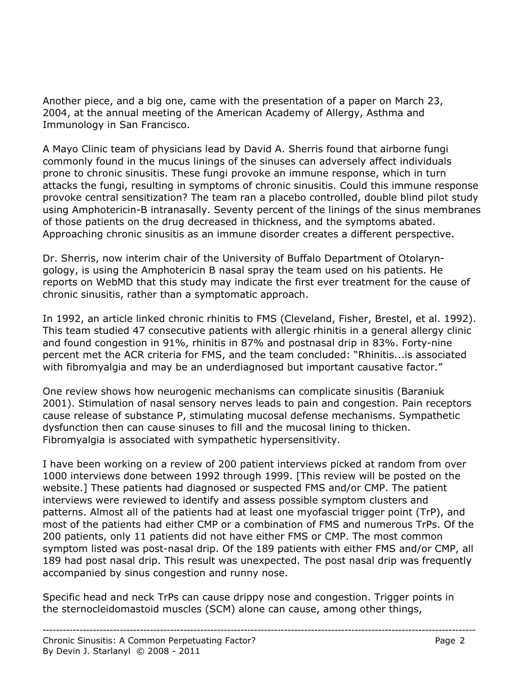Another piece, and a big one, came with the presentation of a paper on March 23, 2004, at the annual meeting of the American Academy of Allergy, Asthma and Immunology in San Francisco.

A Mayo Clinic team of physicians lead by David A. Sherris found that airborne fungi commonly found in the mucus linings of the sinuses can adversely affect individuals prone to chronic sinusitis. These fungi provoke an immune response, which in turn attacks the fungi, resulting in symptoms of chronic sinusitis. Could this immune response provoke central sensitization? The team ran a placebo controlled, double blind pilot study using Amphotericin-B intranasally. Seventy percent of the linings of the sinus membranes of those patients on the drug decreased in thickness, and the symptoms abated. Approaching chronic sinusitis as an immune disorder creates a different perspective.

Dr. Sherris, now interim chair of the University of Buffalo Department of Otolaryngology, is using the Amphotericin B nasal spray the team used on his patients. He reports on WebMD that this study may indicate the first ever treatment for the cause of chronic sinusitis, rather than a symptomatic approach.

In 1992, an article linked chronic rhinitis to FMS (Cleveland, Fisher, Brestel, et al. 1992). This team studied 47 consecutive patients with allergic rhinitis in a general allergy clinic and found congestion in 91%, rhinitis in 87% and postnasal drip in 83%. Forty-nine percent met the ACR criteria for FMS, and the team concluded: "Rhinitis...is associated with fibromyalgia and may be an underdiagnosed but important causative factor."

One review shows how neurogenic mechanisms can complicate sinusitis (Baraniuk 2001). Stimulation of nasal sensory nerves leads to pain and congestion. Pain receptors cause release of substance P, stimulating mucosal defense mechanisms. Sympathetic dysfunction then can cause sinuses to fill and the mucosal lining to thicken. Fibromyalgia is associated with sympathetic hypersensitivity.

I have been working on a review of 200 patient interviews picked at random from over 1000 interviews done between 1992 through 1999. [This review will be posted on the website.] These patients had diagnosed or suspected FMS and/or CMP. The patient interviews were reviewed to identify and assess possible symptom clusters and patterns. Almost all of the patients had at least one myofascial trigger point (TrP), and most of the patients had either CMP or a combination of FMS and numerous TrPs. Of the 200 patients, only 11 patients did not have either FMS or CMP. The most common symptom listed was post-nasal drip. Of the 189 patients with either FMS and/or CMP, all 189 had post nasal drip. This result was unexpected. The post nasal drip was frequently accompanied by sinus congestion and runny nose.

Specific head and neck TrPs can cause drippy nose and congestion. Trigger points in the sternocleidomastoid muscles (SCM) alone can cause, among other things,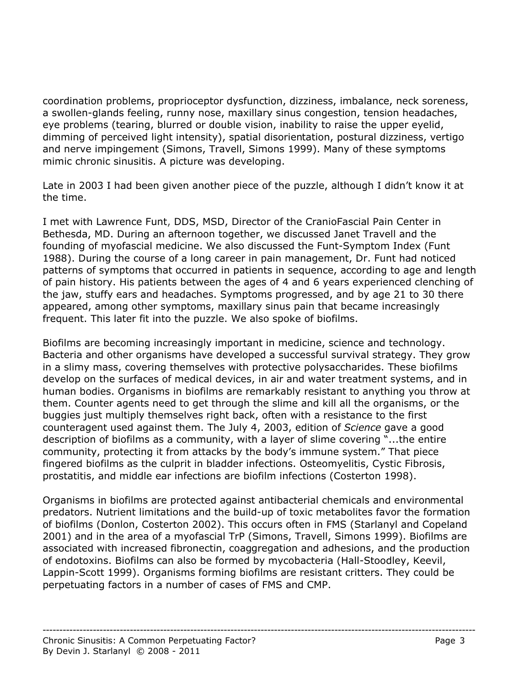coordination problems, proprioceptor dysfunction, dizziness, imbalance, neck soreness, a swollen-glands feeling, runny nose, maxillary sinus congestion, tension headaches, eye problems (tearing, blurred or double vision, inability to raise the upper eyelid, dimming of perceived light intensity), spatial disorientation, postural dizziness, vertigo and nerve impingement (Simons, Travell, Simons 1999). Many of these symptoms mimic chronic sinusitis. A picture was developing.

Late in 2003 I had been given another piece of the puzzle, although I didn't know it at the time.

I met with Lawrence Funt, DDS, MSD, Director of the CranioFascial Pain Center in Bethesda, MD. During an afternoon together, we discussed Janet Travell and the founding of myofascial medicine. We also discussed the Funt-Symptom Index (Funt 1988). During the course of a long career in pain management, Dr. Funt had noticed patterns of symptoms that occurred in patients in sequence, according to age and length of pain history. His patients between the ages of 4 and 6 years experienced clenching of the jaw, stuffy ears and headaches. Symptoms progressed, and by age 21 to 30 there appeared, among other symptoms, maxillary sinus pain that became increasingly frequent. This later fit into the puzzle. We also spoke of biofilms.

Biofilms are becoming increasingly important in medicine, science and technology. Bacteria and other organisms have developed a successful survival strategy. They grow in a slimy mass, covering themselves with protective polysaccharides. These biofilms develop on the surfaces of medical devices, in air and water treatment systems, and in human bodies. Organisms in biofilms are remarkably resistant to anything you throw at them. Counter agents need to get through the slime and kill all the organisms, or the buggies just multiply themselves right back, often with a resistance to the first counteragent used against them. The July 4, 2003, edition of *Science* gave a good description of biofilms as a community, with a layer of slime covering "...the entire community, protecting it from attacks by the body's immune system." That piece fingered biofilms as the culprit in bladder infections. Osteomyelitis, Cystic Fibrosis, prostatitis, and middle ear infections are biofilm infections (Costerton 1998).

Organisms in biofilms are protected against antibacterial chemicals and environmental predators. Nutrient limitations and the build-up of toxic metabolites favor the formation of biofilms (Donlon, Costerton 2002). This occurs often in FMS (Starlanyl and Copeland 2001) and in the area of a myofascial TrP (Simons, Travell, Simons 1999). Biofilms are associated with increased fibronectin, coaggregation and adhesions, and the production of endotoxins. Biofilms can also be formed by mycobacteria (Hall-Stoodley, Keevil, Lappin-Scott 1999). Organisms forming biofilms are resistant critters. They could be perpetuating factors in a number of cases of FMS and CMP.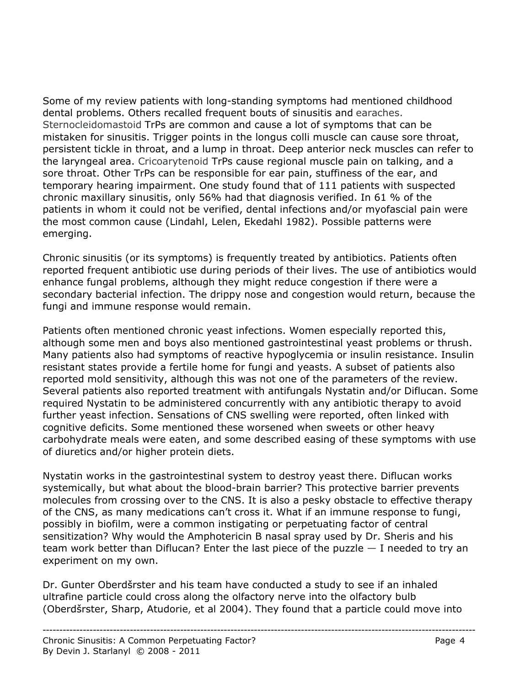Some of my review patients with long-standing symptoms had mentioned childhood dental problems. Others recalled frequent bouts of sinusitis and earaches. Sternocleidomastoid TrPs are common and cause a lot of symptoms that can be mistaken for sinusitis. Trigger points in the longus colli muscle can cause sore throat, persistent tickle in throat, and a lump in throat. Deep anterior neck muscles can refer to the laryngeal area. Cricoarytenoid TrPs cause regional muscle pain on talking, and a sore throat. Other TrPs can be responsible for ear pain, stuffiness of the ear, and temporary hearing impairment. One study found that of 111 patients with suspected chronic maxillary sinusitis, only 56% had that diagnosis verified. In 61 % of the patients in whom it could not be verified, dental infections and/or myofascial pain were the most common cause (Lindahl, Lelen, Ekedahl 1982). Possible patterns were emerging.

Chronic sinusitis (or its symptoms) is frequently treated by antibiotics. Patients often reported frequent antibiotic use during periods of their lives. The use of antibiotics would enhance fungal problems, although they might reduce congestion if there were a secondary bacterial infection. The drippy nose and congestion would return, because the fungi and immune response would remain.

Patients often mentioned chronic yeast infections. Women especially reported this, although some men and boys also mentioned gastrointestinal yeast problems or thrush. Many patients also had symptoms of reactive hypoglycemia or insulin resistance. Insulin resistant states provide a fertile home for fungi and yeasts. A subset of patients also reported mold sensitivity, although this was not one of the parameters of the review. Several patients also reported treatment with antifungals Nystatin and/or Diflucan. Some required Nystatin to be administered concurrently with any antibiotic therapy to avoid further yeast infection. Sensations of CNS swelling were reported, often linked with cognitive deficits. Some mentioned these worsened when sweets or other heavy carbohydrate meals were eaten, and some described easing of these symptoms with use of diuretics and/or higher protein diets.

Nystatin works in the gastrointestinal system to destroy yeast there. Diflucan works systemically, but what about the blood-brain barrier? This protective barrier prevents molecules from crossing over to the CNS. It is also a pesky obstacle to effective therapy of the CNS, as many medications can't cross it. What if an immune response to fungi, possibly in biofilm, were a common instigating or perpetuating factor of central sensitization? Why would the Amphotericin B nasal spray used by Dr. Sheris and his team work better than Diflucan? Enter the last piece of the puzzle  $-1$  needed to try an experiment on my own.

Dr. Gunter Oberdšrster and his team have conducted a study to see if an inhaled ultrafine particle could cross along the olfactory nerve into the olfactory bulb (Oberdšrster, Sharp, Atudorie, et al 2004). They found that a particle could move into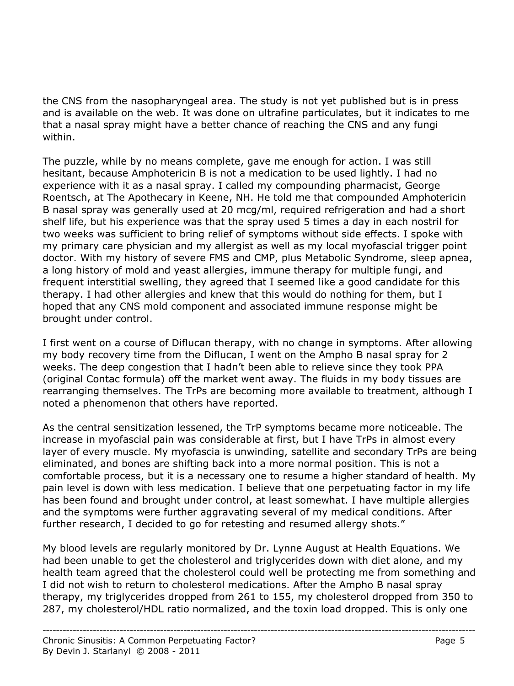the CNS from the nasopharyngeal area. The study is not yet published but is in press and is available on the web. It was done on ultrafine particulates, but it indicates to me that a nasal spray might have a better chance of reaching the CNS and any fungi within.

The puzzle, while by no means complete, gave me enough for action. I was still hesitant, because Amphotericin B is not a medication to be used lightly. I had no experience with it as a nasal spray. I called my compounding pharmacist, George Roentsch, at The Apothecary in Keene, NH. He told me that compounded Amphotericin B nasal spray was generally used at 20 mcg/ml, required refrigeration and had a short shelf life, but his experience was that the spray used 5 times a day in each nostril for two weeks was sufficient to bring relief of symptoms without side effects. I spoke with my primary care physician and my allergist as well as my local myofascial trigger point doctor. With my history of severe FMS and CMP, plus Metabolic Syndrome, sleep apnea, a long history of mold and yeast allergies, immune therapy for multiple fungi, and frequent interstitial swelling, they agreed that I seemed like a good candidate for this therapy. I had other allergies and knew that this would do nothing for them, but I hoped that any CNS mold component and associated immune response might be brought under control.

I first went on a course of Diflucan therapy, with no change in symptoms. After allowing my body recovery time from the Diflucan, I went on the Ampho B nasal spray for 2 weeks. The deep congestion that I hadn't been able to relieve since they took PPA (original Contac formula) off the market went away. The fluids in my body tissues are rearranging themselves. The TrPs are becoming more available to treatment, although I noted a phenomenon that others have reported.

As the central sensitization lessened, the TrP symptoms became more noticeable. The increase in myofascial pain was considerable at first, but I have TrPs in almost every layer of every muscle. My myofascia is unwinding, satellite and secondary TrPs are being eliminated, and bones are shifting back into a more normal position. This is not a comfortable process, but it is a necessary one to resume a higher standard of health. My pain level is down with less medication. I believe that one perpetuating factor in my life has been found and brought under control, at least somewhat. I have multiple allergies and the symptoms were further aggravating several of my medical conditions. After further research, I decided to go for retesting and resumed allergy shots."

My blood levels are regularly monitored by Dr. Lynne August at Health Equations. We had been unable to get the cholesterol and triglycerides down with diet alone, and my health team agreed that the cholesterol could well be protecting me from something and I did not wish to return to cholesterol medications. After the Ampho B nasal spray therapy, my triglycerides dropped from 261 to 155, my cholesterol dropped from 350 to 287, my cholesterol/HDL ratio normalized, and the toxin load dropped. This is only one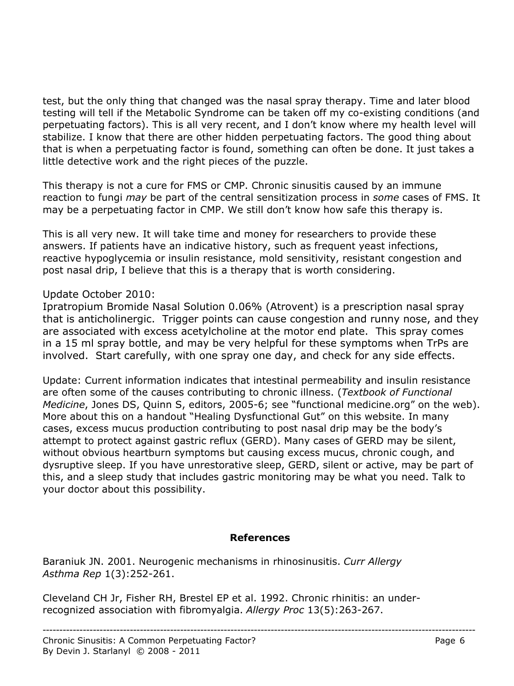test, but the only thing that changed was the nasal spray therapy. Time and later blood testing will tell if the Metabolic Syndrome can be taken off my co-existing conditions (and perpetuating factors). This is all very recent, and I don't know where my health level will stabilize. I know that there are other hidden perpetuating factors. The good thing about that is when a perpetuating factor is found, something can often be done. It just takes a little detective work and the right pieces of the puzzle.

This therapy is not a cure for FMS or CMP. Chronic sinusitis caused by an immune reaction to fungi *may* be part of the central sensitization process in *some* cases of FMS. It may be a perpetuating factor in CMP. We still don't know how safe this therapy is.

This is all very new. It will take time and money for researchers to provide these answers. If patients have an indicative history, such as frequent yeast infections, reactive hypoglycemia or insulin resistance, mold sensitivity, resistant congestion and post nasal drip, I believe that this is a therapy that is worth considering.

## Update October 2010:

Ipratropium Bromide Nasal Solution 0.06% (Atrovent) is a prescription nasal spray that is anticholinergic. Trigger points can cause congestion and runny nose, and they are associated with excess acetylcholine at the motor end plate. This spray comes in a 15 ml spray bottle, and may be very helpful for these symptoms when TrPs are involved. Start carefully, with one spray one day, and check for any side effects.

Update: Current information indicates that intestinal permeability and insulin resistance are often some of the causes contributing to chronic illness. (*Textbook of Functional Medicine*, Jones DS, Quinn S, editors, 2005-6; see "functional medicine.org" on the web). More about this on a handout "Healing Dysfunctional Gut" on this website. In many cases, excess mucus production contributing to post nasal drip may be the body's attempt to protect against gastric reflux (GERD). Many cases of GERD may be silent, without obvious heartburn symptoms but causing excess mucus, chronic cough, and dysruptive sleep. If you have unrestorative sleep, GERD, silent or active, may be part of this, and a sleep study that includes gastric monitoring may be what you need. Talk to your doctor about this possibility.

## **References**

Baraniuk JN. 2001. Neurogenic mechanisms in rhinosinusitis. *Curr Allergy Asthma Rep* 1(3):252-261.

Cleveland CH Jr, Fisher RH, Brestel EP et al. 1992. Chronic rhinitis: an underrecognized association with fibromyalgia. *Allergy Proc* 13(5):263-267.